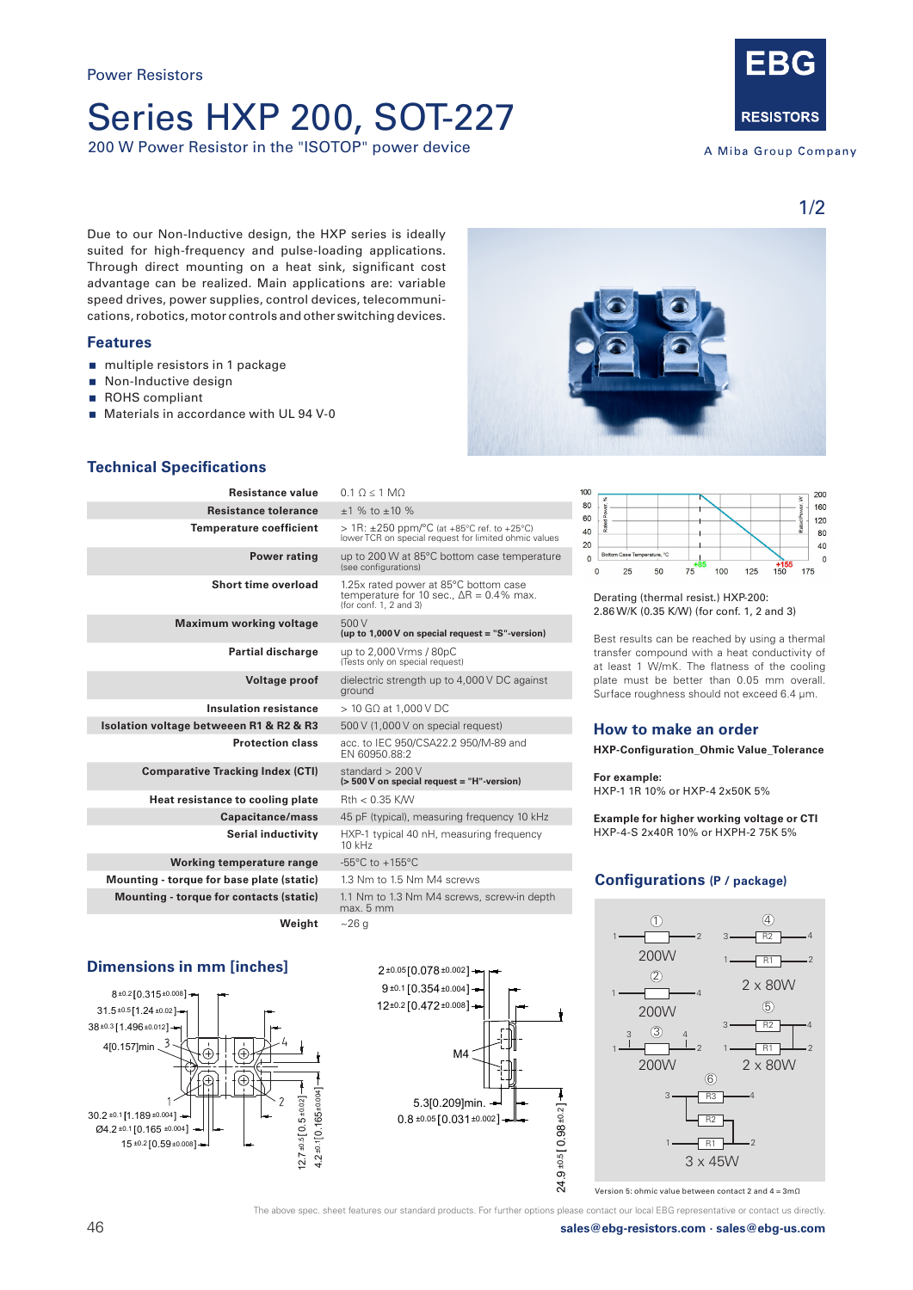## Series HXP 200, SOT-227

200 W Power Resistor in the "ISOTOP" power device



A Miba Group Company

1/2

200

160

 $120$ 

80

 $40$ 

 $\overline{0}$ 

 $175$ 

 $^{+15}_{-150}$ 

Due to our Non-Inductive design, the HXP series is ideally suited for high-frequency and pulse-loading applications. Through direct mounting on a heat sink, significant cost advantage can be realized. Main applications are: variable speed drives, power supplies, control devices, telecommunications, robotics, motor controls and other switching devices.

### **Features**

- multiple resistors in 1 package
- Non-Inductive design
- ROHS compliant
- **Materials in accordance with UL 94 V-0**



 $100$ 

80

60

40

 $20$ 

 $\overline{0}$ 

 $\Omega$  $25$ 

## **Technical Specifications**

| <b>Resistance value</b>                   | $0.1 \Omega \le 1 \text{ M}$                                                                                                   |
|-------------------------------------------|--------------------------------------------------------------------------------------------------------------------------------|
| <b>Resistance tolerance</b>               | $+1$ % to $+10$ %                                                                                                              |
| <b>Temperature coefficient</b>            | $> 1R$ : $\pm 250$ ppm/°C (at +85°C ref. to +25°C)<br>lower TCR on special request for limited ohmic values                    |
| <b>Power rating</b>                       | up to 200 W at 85°C bottom case temperature<br>(see configurations)                                                            |
| Short time overload                       | 1.25x rated power at 85°C bottom case<br>temperature for 10 sec., $\Delta R = 0.4\%$ max.<br>(for $\text{conf. } 1$ , 2 and 3) |
| <b>Maximum working voltage</b>            | 500 V<br>(up to $1,000V$ on special request = "S"-version)                                                                     |
| <b>Partial discharge</b>                  | up to 2,000 Vrms / 80pC<br>(Tests only on special request)                                                                     |
| <b>Voltage proof</b>                      | dielectric strength up to 4,000 V DC against<br>ground                                                                         |
| <b>Insulation resistance</b>              | $>$ 10 GQ at 1.000 V DC                                                                                                        |
| Isolation voltage betweeen R1 & R2 & R3   | 500 V (1,000 V on special request)                                                                                             |
| <b>Protection class</b>                   | acc. to IEC 950/CSA22.2 950/M-89 and<br>EN 60950.88:2                                                                          |
| <b>Comparative Tracking Index (CTI)</b>   | standard $> 200$ V<br>(> 500 V on special request = "H"-version)                                                               |
| Heat resistance to cooling plate          | $Rth < 0.35$ K/W                                                                                                               |
| Capacitance/mass                          | 45 pF (typical), measuring frequency 10 kHz                                                                                    |
| Serial inductivity                        | HXP-1 typical 40 nH, measuring frequency<br>$10$ kHz                                                                           |
| Working temperature range                 | -55 $\degree$ C to +155 $\degree$ C                                                                                            |
| Mounting - torque for base plate (static) | 1.3 Nm to 1.5 Nm M4 screws                                                                                                     |
| Mounting - torque for contacts (static)   | 1.1 Nm to 1.3 Nm M4 screws, screw-in depth<br>max. 5 mm                                                                        |
| Weight                                    | ~26q                                                                                                                           |

## **Dimensions in mm [inches]**





Derating (thermal resist.) HXP-200: 2.86 W/K (0.35 K/W) (for conf. 1, 2 and 3)

 $75$ 

50

Best results can be reached by using a thermal transfer compound with a heat conductivity of at least 1 W/mK. The flatness of the cooling plate must be better than 0.05 mm overall. Surface roughness should not exceed 6.4 μm.

 $100 125$ 

## **How to make an order**

**HXP-Configuration\_Ohmic Value\_Tolerance**

**For example:** 

HXP-1 1R 10% or HXP-4 2x50K 5%

**Example for higher working voltage or CTI** HXP-4-S 2x40R 10% or HXPH-2 75K 5%

## **Configurations (P / package)**



Version 5: ohmic value between contact 2 and 4 = 3mΩ

The above spec. sheet features our standard products. For further options please contact our local EBG representative or contact us directly.